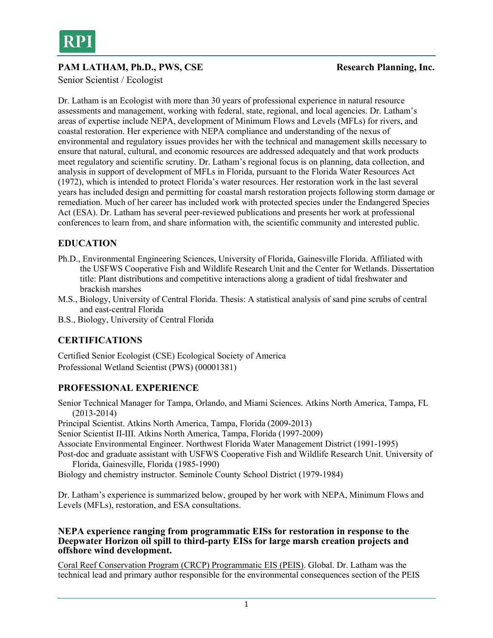

## **PAM LATHAM, Ph.D., PWS, CSE** Research Planning, Inc.

Senior Scientist / Ecologist

Dr. Latham is an Ecologist with more than 30 years of professional experience in natural resource assessments and management, working with federal, state, regional, and local agencies. Dr. Latham's areas of expertise include NEPA, development of Minimum Flows and Levels (MFLs) for rivers, and coastal restoration. Her experience with NEPA compliance and understanding of the nexus of environmental and regulatory issues provides her with the technical and management skills necessary to ensure that natural, cultural, and economic resources are addressed adequately and that work products meet regulatory and scientific scrutiny. Dr. Latham's regional focus is on planning, data collection, and analysis in support of development of MFLs in Florida, pursuant to the Florida Water Resources Act (1972), which is intended to protect Florida's water resources. Her restoration work in the last several years has included design and permitting for coastal marsh restoration projects following storm damage or remediation. Much of her career has included work with protected species under the Endangered Species Act (ESA). Dr. Latham has several peer-reviewed publications and presents her work at professional conferences to learn from, and share information with, the scientific community and interested public.

## **EDUCATION**

- Ph.D., Environmental Engineering Sciences, University of Florida, Gainesville Florida. Affiliated with the USFWS Cooperative Fish and Wildlife Research Unit and the Center for Wetlands. Dissertation title: Plant distributions and competitive interactions along a gradient of tidal freshwater and brackish marshes
- M.S., Biology, University of Central Florida. Thesis: A statistical analysis of sand pine scrubs of central and east-central Florida
- B.S., Biology, University of Central Florida

## **CERTIFICATIONS**

Certified Senior Ecologist (CSE) Ecological Society of America Professional Wetland Scientist (PWS) (00001381)

## **PROFESSIONAL EXPERIENCE**

Senior Technical Manager for Tampa, Orlando, and Miami Sciences. Atkins North America, Tampa, FL (2013-2014)

Principal Scientist. Atkins North America, Tampa, Florida (2009-2013)

Senior Scientist II-III. Atkins North America, Tampa, Florida (1997-2009)

Associate Environmental Engineer. Northwest Florida Water Management District (1991-1995)

Post-doc and graduate assistant with USFWS Cooperative Fish and Wildlife Research Unit. University of Florida, Gainesville, Florida (1985-1990)

Biology and chemistry instructor. Seminole County School District (1979-1984)

Dr. Latham's experience is summarized below, grouped by her work with NEPA, Minimum Flows and Levels (MFLs), restoration, and ESA consultations.

#### **NEPA experience ranging from programmatic EISs for restoration in response to the Deepwater Horizon oil spill to third-party EISs for large marsh creation projects and offshore wind development.**

Coral Reef Conservation Program (CRCP) Programmatic EIS (PEIS). Global. Dr. Latham was the technical lead and primary author responsible for the environmental consequences section of the PEIS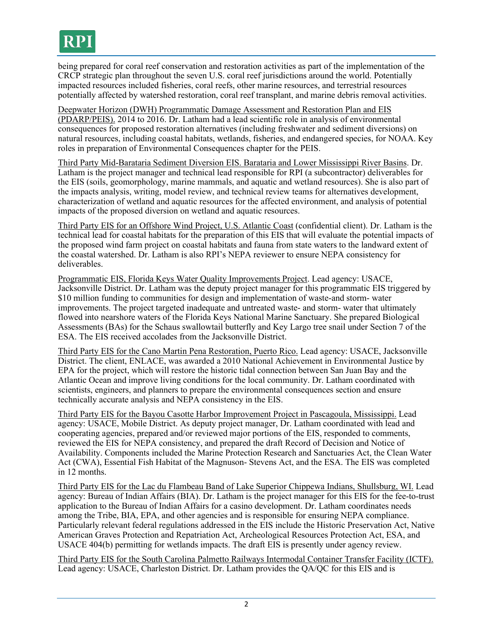being prepared for coral reef conservation and restoration activities as part of the implementation of the CRCP strategic plan throughout the seven U.S. coral reef jurisdictions around the world. Potentially impacted resources included fisheries, coral reefs, other marine resources, and terrestrial resources potentially affected by watershed restoration, coral reef transplant, and marine debris removal activities.

Deepwater Horizon (DWH) Programmatic Damage Assessment and Restoration Plan and EIS (PDARP/PEIS). 2014 to 2016. Dr. Latham had a lead scientific role in analysis of environmental consequences for proposed restoration alternatives (including freshwater and sediment diversions) on natural resources, including coastal habitats, wetlands, fisheries, and endangered species, for NOAA. Key roles in preparation of Environmental Consequences chapter for the PEIS.

Third Party Mid-Barataria Sediment Diversion EIS. Barataria and Lower Mississippi River Basins. Dr. Latham is the project manager and technical lead responsible for RPI (a subcontractor) deliverables for the EIS (soils, geomorphology, marine mammals, and aquatic and wetland resources). She is also part of the impacts analysis, writing, model review, and technical review teams for alternatives development, characterization of wetland and aquatic resources for the affected environment, and analysis of potential impacts of the proposed diversion on wetland and aquatic resources.

Third Party EIS for an Offshore Wind Project, U.S. Atlantic Coast (confidential client). Dr. Latham is the technical lead for coastal habitats for the preparation of this EIS that will evaluate the potential impacts of the proposed wind farm project on coastal habitats and fauna from state waters to the landward extent of the coastal watershed. Dr. Latham is also RPI's NEPA reviewer to ensure NEPA consistency for deliverables.

Programmatic EIS, Florida Keys Water Quality Improvements Project. Lead agency: USACE, Jacksonville District. Dr. Latham was the deputy project manager for this programmatic EIS triggered by \$10 million funding to communities for design and implementation of waste-and storm- water improvements. The project targeted inadequate and untreated waste- and storm- water that ultimately flowed into nearshore waters of the Florida Keys National Marine Sanctuary. She prepared Biological Assessments (BAs) for the Schaus swallowtail butterfly and Key Largo tree snail under Section 7 of the ESA. The EIS received accolades from the Jacksonville District.

Third Party EIS for the Cano Martin Pena Restoration, Puerto Rico. Lead agency: USACE, Jacksonville District. The client, ENLACE, was awarded a 2010 National Achievement in Environmental Justice by EPA for the project, which will restore the historic tidal connection between San Juan Bay and the Atlantic Ocean and improve living conditions for the local community. Dr. Latham coordinated with scientists, engineers, and planners to prepare the environmental consequences section and ensure technically accurate analysis and NEPA consistency in the EIS.

Third Party EIS for the Bayou Casotte Harbor Improvement Project in Pascagoula, Mississippi. Lead agency: USACE, Mobile District. As deputy project manager, Dr. Latham coordinated with lead and cooperating agencies, prepared and/or reviewed major portions of the EIS, responded to comments, reviewed the EIS for NEPA consistency, and prepared the draft Record of Decision and Notice of Availability. Components included the Marine Protection Research and Sanctuaries Act, the Clean Water Act (CWA), Essential Fish Habitat of the Magnuson- Stevens Act, and the ESA. The EIS was completed in 12 months.

Third Party EIS for the Lac du Flambeau Band of Lake Superior Chippewa Indians, Shullsburg, WI. Lead agency: Bureau of Indian Affairs (BIA). Dr. Latham is the project manager for this EIS for the fee-to-trust application to the Bureau of Indian Affairs for a casino development. Dr. Latham coordinates needs among the Tribe, BIA, EPA, and other agencies and is responsible for ensuring NEPA compliance. Particularly relevant federal regulations addressed in the EIS include the Historic Preservation Act, Native American Graves Protection and Repatriation Act, Archeological Resources Protection Act, ESA, and USACE 404(b) permitting for wetlands impacts. The draft EIS is presently under agency review.

Third Party EIS for the South Carolina Palmetto Railways Intermodal Container Transfer Facility (ICTF). Lead agency: USACE, Charleston District. Dr. Latham provides the QA/QC for this EIS and is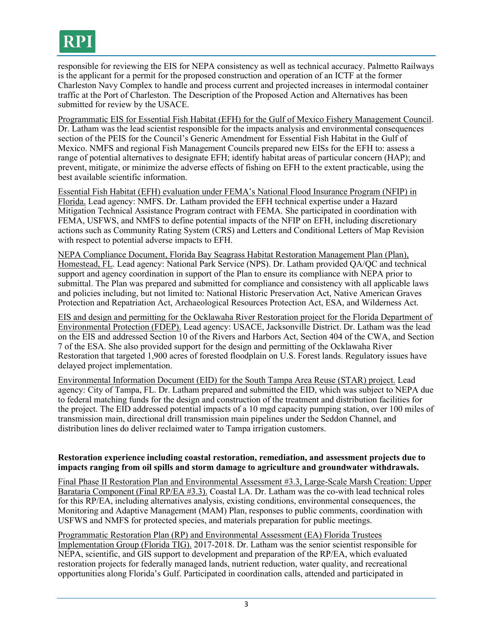

responsible for reviewing the EIS for NEPA consistency as well as technical accuracy. Palmetto Railways is the applicant for a permit for the proposed construction and operation of an ICTF at the former Charleston Navy Complex to handle and process current and projected increases in intermodal container traffic at the Port of Charleston. The Description of the Proposed Action and Alternatives has been submitted for review by the USACE.

Programmatic EIS for Essential Fish Habitat (EFH) for the Gulf of Mexico Fishery Management Council. Dr. Latham was the lead scientist responsible for the impacts analysis and environmental consequences section of the PEIS for the Council's Generic Amendment for Essential Fish Habitat in the Gulf of Mexico. NMFS and regional Fish Management Councils prepared new EISs for the EFH to: assess a range of potential alternatives to designate EFH; identify habitat areas of particular concern (HAP); and prevent, mitigate, or minimize the adverse effects of fishing on EFH to the extent practicable, using the best available scientific information.

Essential Fish Habitat (EFH) evaluation under FEMA's National Flood Insurance Program (NFIP) in Florida. Lead agency: NMFS. Dr. Latham provided the EFH technical expertise under a Hazard Mitigation Technical Assistance Program contract with FEMA. She participated in coordination with FEMA, USFWS, and NMFS to define potential impacts of the NFIP on EFH, including discretionary actions such as Community Rating System (CRS) and Letters and Conditional Letters of Map Revision with respect to potential adverse impacts to EFH.

NEPA Compliance Document, Florida Bay Seagrass Habitat Restoration Management Plan (Plan), Homestead, FL. Lead agency: National Park Service (NPS). Dr. Latham provided QA/QC and technical support and agency coordination in support of the Plan to ensure its compliance with NEPA prior to submittal. The Plan was prepared and submitted for compliance and consistency with all applicable laws and policies including, but not limited to: National Historic Preservation Act, Native American Graves Protection and Repatriation Act, Archaeological Resources Protection Act, ESA, and Wilderness Act.

EIS and design and permitting for the Ocklawaha River Restoration project for the Florida Department of Environmental Protection (FDEP). Lead agency: USACE, Jacksonville District. Dr. Latham was the lead on the EIS and addressed Section 10 of the Rivers and Harbors Act, Section 404 of the CWA, and Section 7 of the ESA. She also provided support for the design and permitting of the Ocklawaha River Restoration that targeted 1,900 acres of forested floodplain on U.S. Forest lands. Regulatory issues have delayed project implementation.

Environmental Information Document (EID) for the South Tampa Area Reuse (STAR) project. Lead agency: City of Tampa, FL. Dr. Latham prepared and submitted the EID, which was subject to NEPA due to federal matching funds for the design and construction of the treatment and distribution facilities for the project. The EID addressed potential impacts of a 10 mgd capacity pumping station, over 100 miles of transmission main, directional drill transmission main pipelines under the Seddon Channel, and distribution lines do deliver reclaimed water to Tampa irrigation customers.

#### **Restoration experience including coastal restoration, remediation, and assessment projects due to impacts ranging from oil spills and storm damage to agriculture and groundwater withdrawals.**

Final Phase II Restoration Plan and Environmental Assessment #3.3, Large-Scale Marsh Creation: Upper Barataria Component (Final RP/EA #3.3). Coastal LA. Dr. Latham was the co-with lead technical roles for this RP/EA, including alternatives analysis, existing conditions, environmental consequences, the Monitoring and Adaptive Management (MAM) Plan, responses to public comments, coordination with USFWS and NMFS for protected species, and materials preparation for public meetings.

Programmatic Restoration Plan (RP) and Environmental Assessment (EA) Florida Trustees Implementation Group (Florida TIG). 2017-2018. Dr. Latham was the senior scientist responsible for NEPA, scientific, and GIS support to development and preparation of the RP/EA, which evaluated restoration projects for federally managed lands, nutrient reduction, water quality, and recreational opportunities along Florida's Gulf. Participated in coordination calls, attended and participated in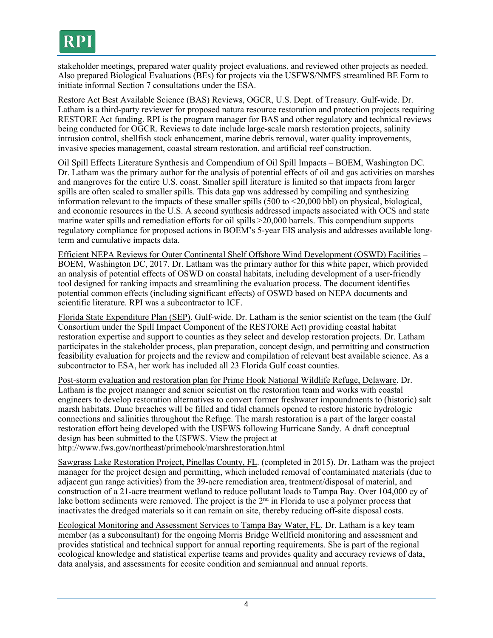

stakeholder meetings, prepared water quality project evaluations, and reviewed other projects as needed. Also prepared Biological Evaluations (BEs) for projects via the USFWS/NMFS streamlined BE Form to initiate informal Section 7 consultations under the ESA.

Restore Act Best Available Science (BAS) Reviews, OGCR, U.S. Dept. of Treasury. Gulf-wide. Dr. Latham is a third-party reviewer for proposed natura resource restoration and protection projects requiring RESTORE Act funding. RPI is the program manager for BAS and other regulatory and technical reviews being conducted for OGCR. Reviews to date include large-scale marsh restoration projects, salinity intrusion control, shellfish stock enhancement, marine debris removal, water quality improvements, invasive species management, coastal stream restoration, and artificial reef construction.

Oil Spill Effects Literature Synthesis and Compendium of Oil Spill Impacts – BOEM, Washington DC. Dr. Latham was the primary author for the analysis of potential effects of oil and gas activities on marshes and mangroves for the entire U.S. coast. Smaller spill literature is limited so that impacts from larger spills are often scaled to smaller spills. This data gap was addressed by compiling and synthesizing information relevant to the impacts of these smaller spills (500 to <20,000 bbl) on physical, biological, and economic resources in the U.S. A second synthesis addressed impacts associated with OCS and state marine water spills and remediation efforts for oil spills >20,000 barrels. This compendium supports regulatory compliance for proposed actions in BOEM's 5-year EIS analysis and addresses available longterm and cumulative impacts data.

Efficient NEPA Reviews for Outer Continental Shelf Offshore Wind Development (OSWD) Facilities – BOEM, Washington DC, 2017. Dr. Latham was the primary author for this white paper, which provided an analysis of potential effects of OSWD on coastal habitats, including development of a user-friendly tool designed for ranking impacts and streamlining the evaluation process. The document identifies potential common effects (including significant effects) of OSWD based on NEPA documents and scientific literature. RPI was a subcontractor to ICF.

Florida State Expenditure Plan (SEP). Gulf-wide. Dr. Latham is the senior scientist on the team (the Gulf Consortium under the Spill Impact Component of the RESTORE Act) providing coastal habitat restoration expertise and support to counties as they select and develop restoration projects. Dr. Latham participates in the stakeholder process, plan preparation, concept design, and permitting and construction feasibility evaluation for projects and the review and compilation of relevant best available science. As a subcontractor to ESA, her work has included all 23 Florida Gulf coast counties.

Post-storm evaluation and restoration plan for Prime Hook National Wildlife Refuge, Delaware. Dr. Latham is the project manager and senior scientist on the restoration team and works with coastal engineers to develop restoration alternatives to convert former freshwater impoundments to (historic) salt marsh habitats. Dune breaches will be filled and tidal channels opened to restore historic hydrologic connections and salinities throughout the Refuge. The marsh restoration is a part of the larger coastal restoration effort being developed with the USFWS following Hurricane Sandy. A draft conceptual design has been submitted to the USFWS. View the project at http://www.fws.gov/northeast/primehook/marshrestoration.html

Sawgrass Lake Restoration Project, Pinellas County, FL. (completed in 2015). Dr. Latham was the project manager for the project design and permitting, which included removal of contaminated materials (due to adjacent gun range activities) from the 39-acre remediation area, treatment/disposal of material, and construction of a 21-acre treatment wetland to reduce pollutant loads to Tampa Bay. Over 104,000 cy of lake bottom sediments were removed. The project is the  $2<sup>nd</sup>$  in Florida to use a polymer process that inactivates the dredged materials so it can remain on site, thereby reducing off-site disposal costs.

Ecological Monitoring and Assessment Services to Tampa Bay Water, FL. Dr. Latham is a key team member (as a subconsultant) for the ongoing Morris Bridge Wellfield monitoring and assessment and provides statistical and technical support for annual reporting requirements. She is part of the regional ecological knowledge and statistical expertise teams and provides quality and accuracy reviews of data, data analysis, and assessments for ecosite condition and semiannual and annual reports.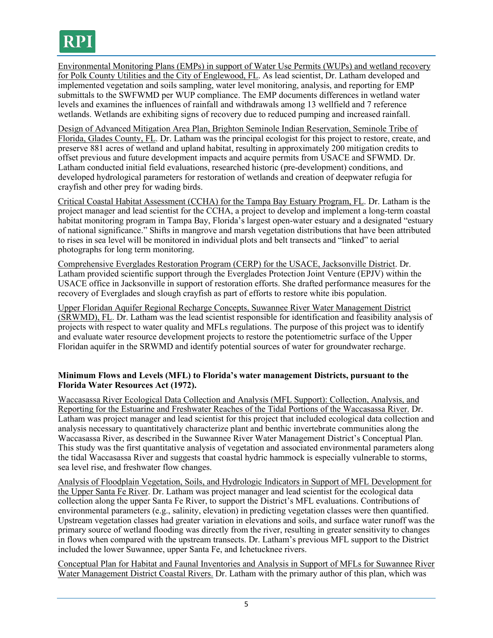Environmental Monitoring Plans (EMPs) in support of Water Use Permits (WUPs) and wetland recovery for Polk County Utilities and the City of Englewood, FL. As lead scientist, Dr. Latham developed and implemented vegetation and soils sampling, water level monitoring, analysis, and reporting for EMP submittals to the SWFWMD per WUP compliance. The EMP documents differences in wetland water levels and examines the influences of rainfall and withdrawals among 13 wellfield and 7 reference wetlands. Wetlands are exhibiting signs of recovery due to reduced pumping and increased rainfall.

Design of Advanced Mitigation Area Plan, Brighton Seminole Indian Reservation, Seminole Tribe of Florida, Glades County, FL. Dr. Latham was the principal ecologist for this project to restore, create, and preserve 881 acres of wetland and upland habitat, resulting in approximately 200 mitigation credits to offset previous and future development impacts and acquire permits from USACE and SFWMD. Dr. Latham conducted initial field evaluations, researched historic (pre-development) conditions, and developed hydrological parameters for restoration of wetlands and creation of deepwater refugia for crayfish and other prey for wading birds.

Critical Coastal Habitat Assessment (CCHA) for the Tampa Bay Estuary Program, FL. Dr. Latham is the project manager and lead scientist for the CCHA, a project to develop and implement a long-term coastal habitat monitoring program in Tampa Bay, Florida's largest open-water estuary and a designated "estuary of national significance." Shifts in mangrove and marsh vegetation distributions that have been attributed to rises in sea level will be monitored in individual plots and belt transects and "linked" to aerial photographs for long term monitoring.

Comprehensive Everglades Restoration Program (CERP) for the USACE, Jacksonville District. Dr. Latham provided scientific support through the Everglades Protection Joint Venture (EPJV) within the USACE office in Jacksonville in support of restoration efforts. She drafted performance measures for the recovery of Everglades and slough crayfish as part of efforts to restore white ibis population.

Upper Floridan Aquifer Regional Recharge Concepts, Suwannee River Water Management District (SRWMD), FL. Dr. Latham was the lead scientist responsible for identification and feasibility analysis of projects with respect to water quality and MFLs regulations. The purpose of this project was to identify and evaluate water resource development projects to restore the potentiometric surface of the Upper Floridan aquifer in the SRWMD and identify potential sources of water for groundwater recharge.

### **Minimum Flows and Levels (MFL) to Florida's water management Districts, pursuant to the Florida Water Resources Act (1972).**

Waccasassa River Ecological Data Collection and Analysis (MFL Support): Collection, Analysis, and Reporting for the Estuarine and Freshwater Reaches of the Tidal Portions of the Waccasassa River. Dr. Latham was project manager and lead scientist for this project that included ecological data collection and analysis necessary to quantitatively characterize plant and benthic invertebrate communities along the Waccasassa River, as described in the Suwannee River Water Management District's Conceptual Plan. This study was the first quantitative analysis of vegetation and associated environmental parameters along the tidal Waccasassa River and suggests that coastal hydric hammock is especially vulnerable to storms, sea level rise, and freshwater flow changes.

Analysis of Floodplain Vegetation, Soils, and Hydrologic Indicators in Support of MFL Development for the Upper Santa Fe River. Dr. Latham was project manager and lead scientist for the ecological data collection along the upper Santa Fe River, to support the District's MFL evaluations. Contributions of environmental parameters (e.g., salinity, elevation) in predicting vegetation classes were then quantified. Upstream vegetation classes had greater variation in elevations and soils, and surface water runoff was the primary source of wetland flooding was directly from the river, resulting in greater sensitivity to changes in flows when compared with the upstream transects. Dr. Latham's previous MFL support to the District included the lower Suwannee, upper Santa Fe, and Ichetucknee rivers.

Conceptual Plan for Habitat and Faunal Inventories and Analysis in Support of MFLs for Suwannee River Water Management District Coastal Rivers. Dr. Latham with the primary author of this plan, which was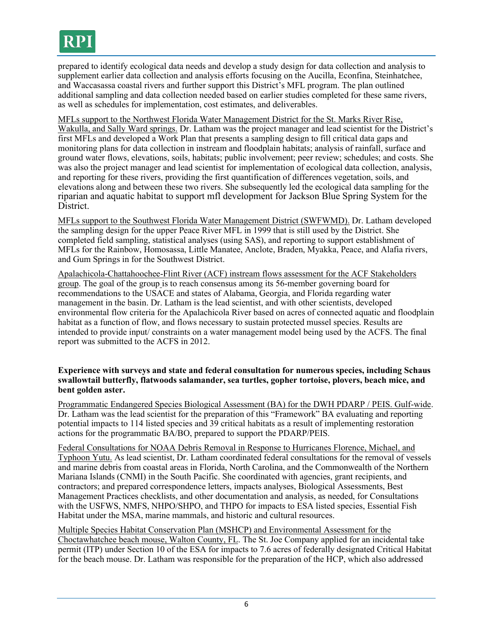

prepared to identify ecological data needs and develop a study design for data collection and analysis to supplement earlier data collection and analysis efforts focusing on the Aucilla, Econfina, Steinhatchee, and Waccasassa coastal rivers and further support this District's MFL program. The plan outlined additional sampling and data collection needed based on earlier studies completed for these same rivers, as well as schedules for implementation, cost estimates, and deliverables.

MFLs support to the Northwest Florida Water Management District for the St. Marks River Rise, Wakulla, and Sally Ward springs. Dr. Latham was the project manager and lead scientist for the District's first MFLs and developed a Work Plan that presents a sampling design to fill critical data gaps and monitoring plans for data collection in instream and floodplain habitats; analysis of rainfall, surface and ground water flows, elevations, soils, habitats; public involvement; peer review; schedules; and costs. She was also the project manager and lead scientist for implementation of ecological data collection, analysis, and reporting for these rivers, providing the first quantification of differences vegetation, soils, and elevations along and between these two rivers. She subsequently led the ecological data sampling for the riparian and aquatic habitat to support mfl development for Jackson Blue Spring System for the District.

MFLs support to the Southwest Florida Water Management District (SWFWMD). Dr. Latham developed the sampling design for the upper Peace River MFL in 1999 that is still used by the District. She completed field sampling, statistical analyses (using SAS), and reporting to support establishment of MFLs for the Rainbow, Homosassa, Little Manatee, Anclote, Braden, Myakka, Peace, and Alafia rivers, and Gum Springs in for the Southwest District.

Apalachicola-Chattahoochee-Flint River (ACF) instream flows assessment for the ACF Stakeholders group. The goal of the group is to reach consensus among its 56-member governing board for recommendations to the USACE and states of Alabama, Georgia, and Florida regarding water management in the basin. Dr. Latham is the lead scientist, and with other scientists, developed environmental flow criteria for the Apalachicola River based on acres of connected aquatic and floodplain habitat as a function of flow, and flows necessary to sustain protected mussel species. Results are intended to provide input/ constraints on a water management model being used by the ACFS. The final report was submitted to the ACFS in 2012.

#### **Experience with surveys and state and federal consultation for numerous species, including Schaus swallowtail butterfly, flatwoods salamander, sea turtles, gopher tortoise, plovers, beach mice, and bent golden aster.**

Programmatic Endangered Species Biological Assessment (BA) for the DWH PDARP / PEIS. Gulf-wide. Dr. Latham was the lead scientist for the preparation of this "Framework" BA evaluating and reporting potential impacts to 114 listed species and 39 critical habitats as a result of implementing restoration actions for the programmatic BA/BO, prepared to support the PDARP/PEIS.

Federal Consultations for NOAA Debris Removal in Response to Hurricanes Florence, Michael, and Typhoon Yutu. As lead scientist, Dr. Latham coordinated federal consultations for the removal of vessels and marine debris from coastal areas in Florida, North Carolina, and the Commonwealth of the Northern Mariana Islands (CNMI) in the South Pacific. She coordinated with agencies, grant recipients, and contractors; and prepared correspondence letters, impacts analyses, Biological Assessments, Best Management Practices checklists, and other documentation and analysis, as needed, for Consultations with the USFWS, NMFS, NHPO/SHPO, and THPO for impacts to ESA listed species, Essential Fish Habitat under the MSA, marine mammals, and historic and cultural resources.

Multiple Species Habitat Conservation Plan (MSHCP) and Environmental Assessment for the Choctawhatchee beach mouse, Walton County, FL. The St. Joe Company applied for an incidental take permit (ITP) under Section 10 of the ESA for impacts to 7.6 acres of federally designated Critical Habitat for the beach mouse. Dr. Latham was responsible for the preparation of the HCP, which also addressed